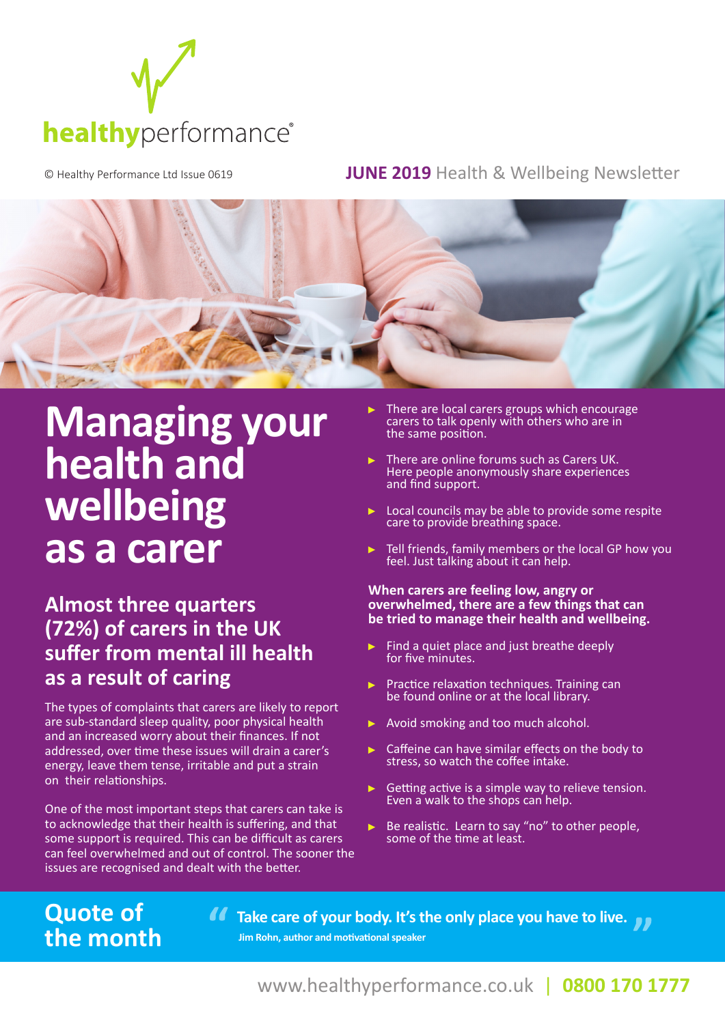

### © Healthy Performance Ltd Issue 0619 **JUNE 2019** Health & Wellbeing Newsletter



# **Managing your health and wellbeing as a carer**

# **Almost three quarters (72%) of carers in the UK suffer from mental ill health as a result of caring**

The types of complaints that carers are likely to report are sub-standard sleep quality, poor physical health and an increased worry about their finances. If not addressed, over time these issues will drain a carer's energy, leave them tense, irritable and put a strain on their relationships.

One of the most important steps that carers can take is to acknowledge that their health is suffering, and that some support is required. This can be difficult as carers can feel overwhelmed and out of control. The sooner the issues are recognised and dealt with the better.

**Quote of** 

**the month**

- There are local carers groups which encourage carers to talk openly with others who are in the same position.
- There are online forums such as Carers UK. Here people anonymously share experiences and find support.
- $\blacktriangleright$  Local councils may be able to provide some respite care to provide breathing space.
- Tell friends, family members or the local GP how you feel. Just talking about it can help.

#### **When carers are feeling low, angry or overwhelmed, there are a few things that can be tried to manage their health and wellbeing.**

- Find a quiet place and just breathe deeply for five minutes.
- $\blacktriangleright$  Practice relaxation techniques. Training can be found online or at the local library.
- ▶ Avoid smoking and too much alcohol.
- Caffeine can have similar effects on the body to stress, so watch the coffee intake.
- Getting active is a simple way to relieve tension. Even a walk to the shops can help.
- Be realistic. Learn to say "no" to other people,  $\blacktriangleright$ some of the time at least.

**Quote of and all of the Care of your body. It's the only place you have to live. Jim Rohn, author and motivational speaker**